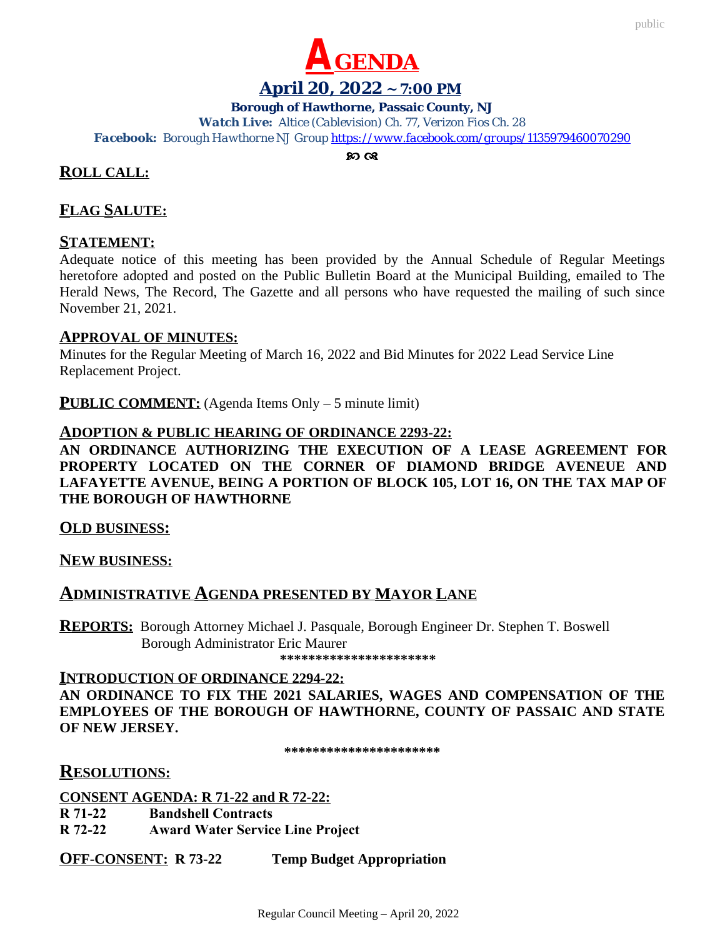

#### **April 20, 2022 ~ 7:00 PM**

#### **Borough of Hawthorne, Passaic County, NJ**

*Watch Live: Altice (Cablevision) Ch. 77, Verizon Fios Ch. 28 Facebook: Borough Hawthorne NJ Group <https://www.facebook.com/groups/1135979460070290>*

 $\mathcal{D}$   $\alpha$ 

# **ROLL CALL:**

# **FLAG SALUTE:**

## **STATEMENT:**

Adequate notice of this meeting has been provided by the Annual Schedule of Regular Meetings heretofore adopted and posted on the Public Bulletin Board at the Municipal Building, emailed to The Herald News, The Record, The Gazette and all persons who have requested the mailing of such since November 21, 2021.

## **APPROVAL OF MINUTES:**

Minutes for the Regular Meeting of March 16, 2022 and Bid Minutes for 2022 Lead Service Line Replacement Project.

**PUBLIC COMMENT:** (Agenda Items Only – 5 minute limit)

## **ADOPTION & PUBLIC HEARING OF ORDINANCE 2293-22:**

**AN ORDINANCE AUTHORIZING THE EXECUTION OF A LEASE AGREEMENT FOR PROPERTY LOCATED ON THE CORNER OF DIAMOND BRIDGE AVENEUE AND LAFAYETTE AVENUE, BEING A PORTION OF BLOCK 105, LOT 16, ON THE TAX MAP OF THE BOROUGH OF HAWTHORNE**

**OLD BUSINESS:**

**NEW BUSINESS:**

# **ADMINISTRATIVE AGENDA PRESENTED BY MAYOR LANE**

**REPORTS:** Borough Attorney Michael J. Pasquale, Borough Engineer Dr. Stephen T. Boswell Borough Administrator Eric Maurer

 **\*\*\*\*\*\*\*\*\*\*\*\*\*\*\*\*\*\*\*\*\*\***

#### **INTRODUCTION OF ORDINANCE 2294-22:**

**AN ORDINANCE TO FIX THE 2021 SALARIES, WAGES AND COMPENSATION OF THE EMPLOYEES OF THE BOROUGH OF HAWTHORNE, COUNTY OF PASSAIC AND STATE OF NEW JERSEY.**

**\*\*\*\*\*\*\*\*\*\*\*\*\*\*\*\*\*\*\*\*\*\***

# **RESOLUTIONS:**

**CONSENT AGENDA: R 71-22 and R 72-22: R 71-22 Bandshell Contracts R 72-22 Award Water Service Line Project**

**OFF-CONSENT: R 73-22 Temp Budget Appropriation**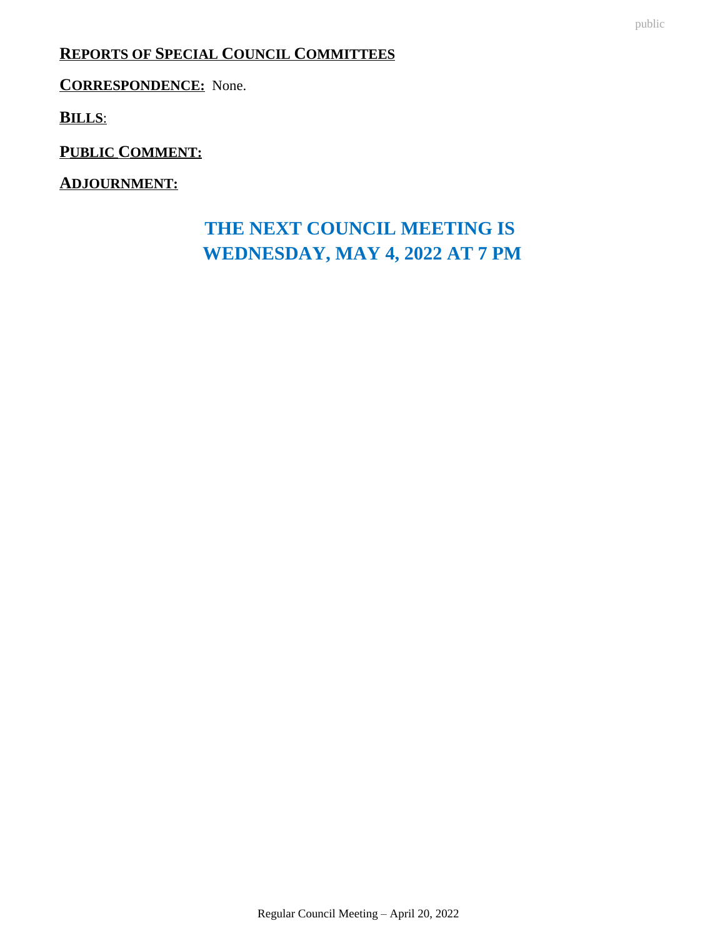# **REPORTS OF SPECIAL COUNCIL COMMITTEES**

**CORRESPONDENCE:** None.

**BILLS**:

**PUBLIC COMMENT:**

**ADJOURNMENT:**

# **THE NEXT COUNCIL MEETING IS WEDNESDAY, MAY 4, 2022 AT 7 PM**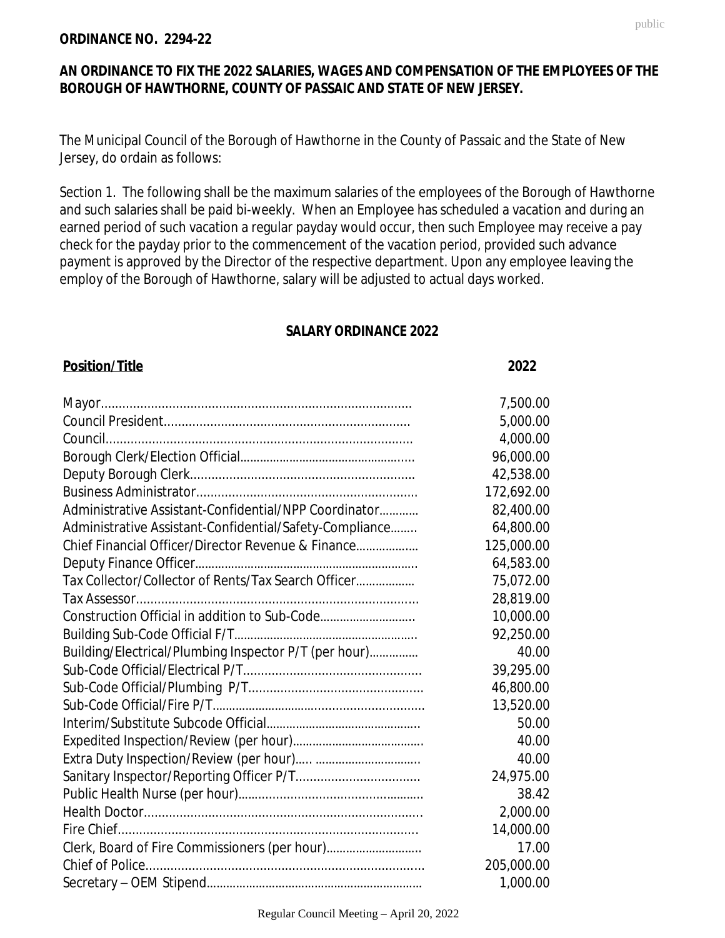#### **ORDINANCE NO. 2294-22**

# **AN ORDINANCE TO FIX THE 2022 SALARIES, WAGES AND COMPENSATION OF THE EMPLOYEES OF THE BOROUGH OF HAWTHORNE, COUNTY OF PASSAIC AND STATE OF NEW JERSEY.**

The Municipal Council of the Borough of Hawthorne in the County of Passaic and the State of New Jersey, do ordain as follows:

Section 1. The following shall be the maximum salaries of the employees of the Borough of Hawthorne and such salaries shall be paid bi-weekly. When an Employee has scheduled a vacation and during an earned period of such vacation a regular payday would occur, then such Employee may receive a pay check for the payday prior to the commencement of the vacation period, provided such advance payment is approved by the Director of the respective department. Upon any employee leaving the employ of the Borough of Hawthorne, salary will be adjusted to actual days worked.

## **SALARY ORDINANCE 2022**

Mayor....................................................................................... 7,500.00

## **Position/Title 2022**

Council President..................................................................... President.......................................................................... Council...................................................................................... 5,000.00 Person.............................................................................. Borough Clerk/Election Official…………………………………………..... 96,000.00 4,000.00 Deputy Borough Clerk............................................................... ...Clerk.................................................................. Business Administrator.............................................................. 172,692.00 42,538.00 Administrative Assistant-Confidential/NPP Coordinator………… 82,400.00 Administrative Assistant-Confidential/Safety-Compliance........ 64,800.00 Chief Financial Officer/Director Revenue & Finance…………….… 125,000.00 Deputy Finance Officer………………………………………………………….. 64,583.00 Tax Collector/Collector of Rents/Tax Search Officer……………… 75,072.00 Tax Assessor............................................................................... 28,819.00 Construction Official in addition to Sub-Code……………………….. 10,000.00 Building Sub-Code Official F/T……………………………………………….. 92,250.00 Building/Electrical/Plumbing Inspector P/T (per hour)…………… 40.00 Sub-Code Official/Electrical P/T.................................................. 39,295.00 Sub-Code Official/Plumbing P/T................................................. 46,800.00 Sub-Code Official/Fire P/T.…………………………............................... 13,520.00 Interim/Substitute Subcode Official……………………………………….. 50.00 Expedited Inspection/Review (per hour)…………………………………. 40.00 Extra Duty Inspection/Review (per hour)….. ………………………….. 40.00 Sanitary Inspector/Reporting Officer P/T................................... 24,975.00 Public Health Nurse (per hour)……....................................……….. 38.42 Health Doctor.............................................................................. 2,000.00 Fire Chief.................................................................................... 14,000.00 Clerk, Board of Fire Commissioners (per hour)……………………….. 17.00 Chief of Police.............................................................................. 205,000.00 Secretary – OEM Stipend………………………………………………………… 1,000.00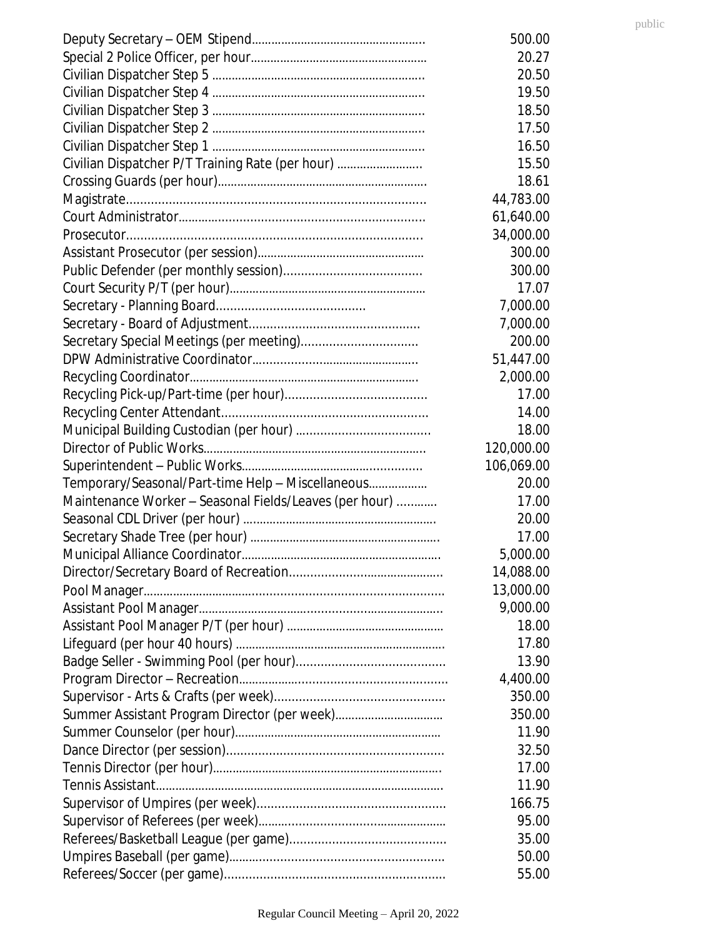|                                                        | 500.00     |
|--------------------------------------------------------|------------|
|                                                        | 20.27      |
|                                                        | 20.50      |
|                                                        | 19.50      |
|                                                        | 18.50      |
|                                                        | 17.50      |
|                                                        | 16.50      |
| Civilian Dispatcher P/T Training Rate (per hour)       | 15.50      |
|                                                        | 18.61      |
|                                                        | 44,783.00  |
|                                                        | 61,640.00  |
|                                                        | 34,000.00  |
|                                                        | 300.00     |
|                                                        | 300.00     |
|                                                        | 17.07      |
|                                                        | 7,000.00   |
|                                                        | 7,000.00   |
| Secretary Special Meetings (per meeting)               | 200.00     |
|                                                        | 51,447.00  |
|                                                        | 2,000.00   |
|                                                        | 17.00      |
|                                                        | 14.00      |
|                                                        | 18.00      |
|                                                        | 120,000.00 |
|                                                        | 106,069.00 |
| Temporary/Seasonal/Part-time Help - Miscellaneous      | 20.00      |
| Maintenance Worker - Seasonal Fields/Leaves (per hour) | 17.00      |
|                                                        | 20.00      |
|                                                        | 17.00      |
|                                                        | 5,000.00   |
|                                                        | 14,088.00  |
|                                                        | 13,000.00  |
|                                                        | 9,000.00   |
|                                                        | 18.00      |
|                                                        | 17.80      |
|                                                        | 13.90      |
|                                                        | 4,400.00   |
|                                                        | 350.00     |
|                                                        | 350.00     |
|                                                        | 11.90      |
|                                                        | 32.50      |
|                                                        | 17.00      |
|                                                        | 11.90      |
|                                                        | 166.75     |
|                                                        | 95.00      |
|                                                        | 35.00      |
|                                                        | 50.00      |
|                                                        | 55.00      |
|                                                        |            |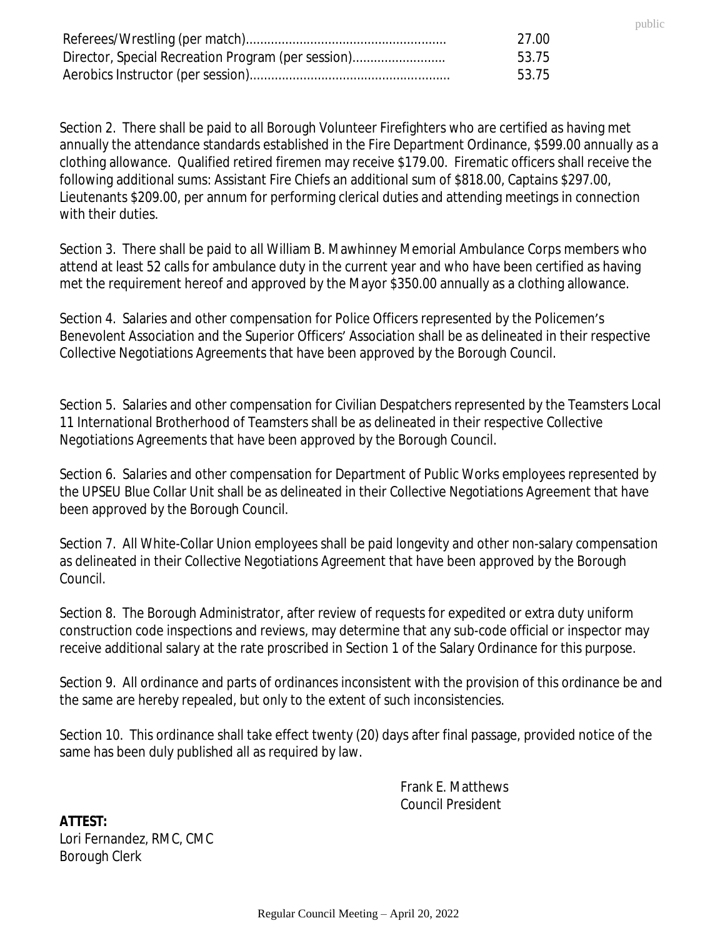|                                                    | -27.00 |
|----------------------------------------------------|--------|
| Director, Special Recreation Program (per session) | 53.75  |
|                                                    | 53.75  |

Section 2. There shall be paid to all Borough Volunteer Firefighters who are certified as having met annually the attendance standards established in the Fire Department Ordinance, \$599.00 annually as a clothing allowance. Qualified retired firemen may receive \$179.00. Firematic officers shall receive the following additional sums: Assistant Fire Chiefs an additional sum of \$818.00, Captains \$297.00, Lieutenants \$209.00, per annum for performing clerical duties and attending meetings in connection with their duties.

public

Section 3. There shall be paid to all William B. Mawhinney Memorial Ambulance Corps members who attend at least 52 calls for ambulance duty in the current year and who have been certified as having met the requirement hereof and approved by the Mayor \$350.00 annually as a clothing allowance.

Section 4. Salaries and other compensation for Police Officers represented by the Policemen's Benevolent Association and the Superior Officers' Association shall be as delineated in their respective Collective Negotiations Agreements that have been approved by the Borough Council.

Section 5. Salaries and other compensation for Civilian Despatchers represented by the Teamsters Local 11 International Brotherhood of Teamsters shall be as delineated in their respective Collective Negotiations Agreements that have been approved by the Borough Council.

Section 6. Salaries and other compensation for Department of Public Works employees represented by the UPSEU Blue Collar Unit shall be as delineated in their Collective Negotiations Agreement that have been approved by the Borough Council.

Section 7. All White-Collar Union employees shall be paid longevity and other non-salary compensation as delineated in their Collective Negotiations Agreement that have been approved by the Borough Council.

Section 8. The Borough Administrator, after review of requests for expedited or extra duty uniform construction code inspections and reviews, may determine that any sub-code official or inspector may receive additional salary at the rate proscribed in Section 1 of the Salary Ordinance for this purpose.

Section 9. All ordinance and parts of ordinances inconsistent with the provision of this ordinance be and the same are hereby repealed, but only to the extent of such inconsistencies.

Section 10. This ordinance shall take effect twenty (20) days after final passage, provided notice of the same has been duly published all as required by law.

> Frank E. Matthews Council President

**ATTEST:** Lori Fernandez, RMC, CMC Borough Clerk